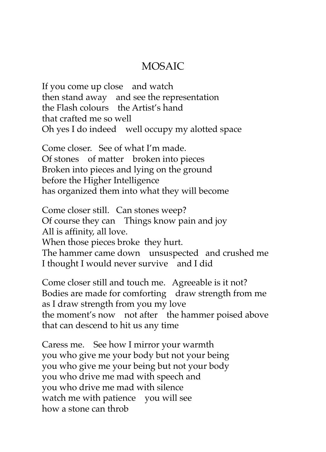## MOSAIC

If you come up close and watch then stand away and see the representation the Flash colours the Artist's hand that crafted me so well Oh yes I do indeed well occupy my alotted space

Come closer. See of what I'm made. Of stones of matter broken into pieces Broken into pieces and lying on the ground before the Higher Intelligence has organized them into what they will become

Come closer still. Can stones weep? Of course they can Things know pain and joy All is affinity, all love. When those pieces broke they hurt. The hammer came down unsuspected and crushed me I thought I would never survive and I did

Come closer still and touch me. Agreeable is it not? Bodies are made for comforting draw strength from me as I draw strength from you my love the moment's now not after the hammer poised above that can descend to hit us any time

Caress me. See how I mirror your warmth you who give me your body but not your being you who give me your being but not your body you who drive me mad with speech and you who drive me mad with silence watch me with patience you will see how a stone can throb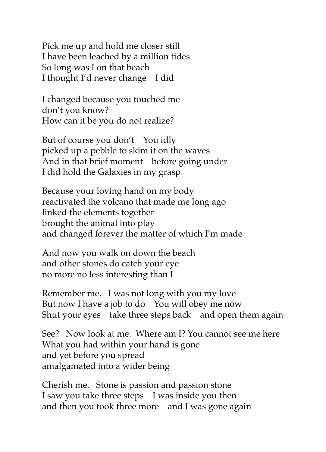Pick me up and hold me closer still I have been leached by a million tides So long was I on that beach I thought I'd never change I did

I changed because you touched me don't you know? How can it be you do not realize?

But of course you don't You idly picked up a pebble to skim it on the waves And in that brief moment before going under I did hold the Galaxies in my grasp

Because your loving hand on my body reactivated the volcano that made me long ago linked the elements together brought the animal into play and changed forever the matter of which I'm made

And now you walk on down the beach and other stones do catch your eye no more no less interesting than I

Remember me. I was not long with you my love But now I have a job to do You will obey me now Shut your eyes take three steps back and open them again

See? Now look at me. Where am I? You cannot see me here What you had within your hand is gone and yet before you spread amalgamated into a wider being

Cherish me. Stone is passion and passion stone I saw you take three steps I was inside you then and then you took three more and I was gone again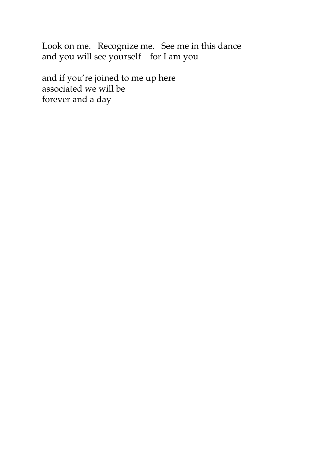Look on me. Recognize me. See me in this dance and you will see yourself for I am you

and if you're joined to me up here associated we will be forever and a day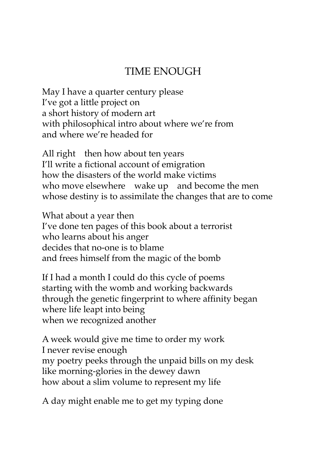## TIME ENOUGH

May I have a quarter century please I've got a little project on a short history of modern art with philosophical intro about where we're from and where we're headed for

All right then how about ten years I'll write a fictional account of emigration how the disasters of the world make victims who move elsewhere wake up and become the men whose destiny is to assimilate the changes that are to come

What about a year then I've done ten pages of this book about a terrorist who learns about his anger decides that no-one is to blame and frees himself from the magic of the bomb

If I had a month I could do this cycle of poems starting with the womb and working backwards through the genetic fingerprint to where affinity began where life leapt into being when we recognized another

A week would give me time to order my work I never revise enough my poetry peeks through the unpaid bills on my desk like morning-glories in the dewey dawn how about a slim volume to represent my life

A day might enable me to get my typing done